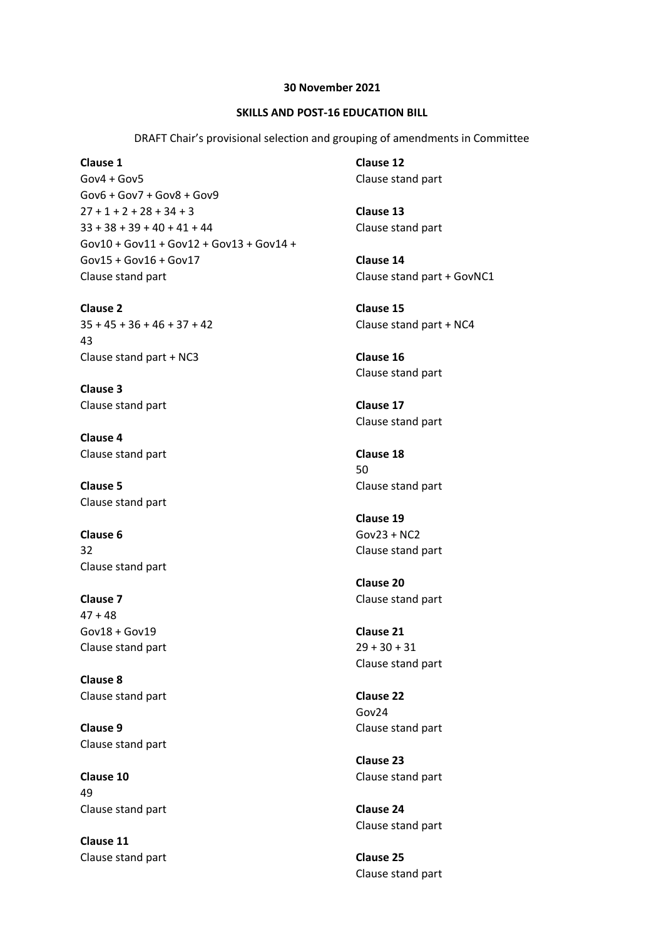## **30 November 2021**

## **SKILLS AND POST-16 EDUCATION BILL**

DRAFT Chair's provisional selection and grouping of amendments in Committee

**Clause 1**  $Gov<sub>4</sub> + Gov<sub>5</sub>$ Gov6 + Gov7 + Gov8 + Gov9  $27 + 1 + 2 + 28 + 34 + 3$ 33 + 38 + 39 + 40 + 41 + 44 Gov10 + Gov11 + Gov12 + Gov13 + Gov14 + Gov15 + Gov16 + Gov17 Clause stand part

**Clause 2** 35 + 45 + 36 + 46 + 37 + 42 43 Clause stand part + NC3

**Clause 3** Clause stand part

**Clause 4** Clause stand part

**Clause 5** Clause stand part

**Clause 6** 32 Clause stand part

**Clause 7**  $47 + 48$ Gov18 + Gov19 Clause stand part

**Clause 8** Clause stand part

**Clause 9** Clause stand part

**Clause 10** 49 Clause stand part

**Clause 11** Clause stand part **Clause 12** Clause stand part

**Clause 13** Clause stand part

**Clause 14** Clause stand part + GovNC1

**Clause 15** Clause stand part + NC4

**Clause 16** Clause stand part

**Clause 17** Clause stand part

**Clause 18** 50 Clause stand part

**Clause 19** Gov23 + NC2 Clause stand part

**Clause 20** Clause stand part

**Clause 21** 29 + 30 + 31 Clause stand part

**Clause 22** Gov24 Clause stand part

**Clause 23** Clause stand part

**Clause 24** Clause stand part

**Clause 25** Clause stand part